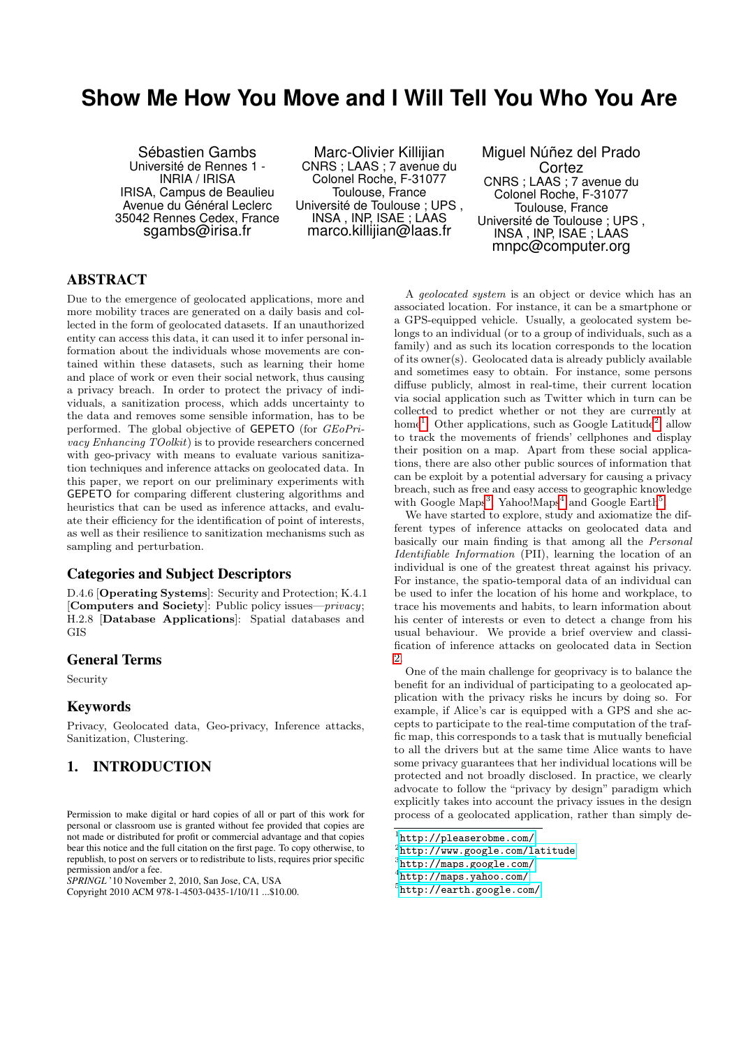# **Show Me How You Move and I Will Tell You Who You Are**

Sébastien Gambs Université de Rennes 1 - INRIA / IRISA IRISA, Campus de Beaulieu Avenue du Général Leclerc 35042 Rennes Cedex, France sgambs@irisa.fr

Marc-Olivier Killijian CNRS ; LAAS ; 7 avenue du Colonel Roche, F-31077 Toulouse, France Université de Toulouse ; UPS , INSA , INP, ISAE ; LAAS marco.killijian@laas.fr

Miguel Núñez del Prado **Cortez** CNRS ; LAAS ; 7 avenue du Colonel Roche, F-31077 Toulouse, France Université de Toulouse ; UPS , INSA , INP, ISAE ; LAAS mnpc@computer.org

## ABSTRACT

Due to the emergence of geolocated applications, more and more mobility traces are generated on a daily basis and collected in the form of geolocated datasets. If an unauthorized entity can access this data, it can used it to infer personal information about the individuals whose movements are contained within these datasets, such as learning their home and place of work or even their social network, thus causing a privacy breach. In order to protect the privacy of individuals, a sanitization process, which adds uncertainty to the data and removes some sensible information, has to be performed. The global objective of GEPETO (for GEoPrivacy Enhancing TOolkit) is to provide researchers concerned with geo-privacy with means to evaluate various sanitization techniques and inference attacks on geolocated data. In this paper, we report on our preliminary experiments with GEPETO for comparing different clustering algorithms and heuristics that can be used as inference attacks, and evaluate their efficiency for the identification of point of interests, as well as their resilience to sanitization mechanisms such as sampling and perturbation.

#### Categories and Subject Descriptors

D.4.6 [Operating Systems]: Security and Protection; K.4.1 [Computers and Society]: Public policy issues—privacy; H.2.8 [Database Applications]: Spatial databases and GIS

#### General Terms

Security

## Keywords

Privacy, Geolocated data, Geo-privacy, Inference attacks, Sanitization, Clustering.

## 1. INTRODUCTION

*SPRINGL* '10 November 2, 2010, San Jose, CA, USA

A geolocated system is an object or device which has an associated location. For instance, it can be a smartphone or a GPS-equipped vehicle. Usually, a geolocated system belongs to an individual (or to a group of individuals, such as a family) and as such its location corresponds to the location of its owner(s). Geolocated data is already publicly available and sometimes easy to obtain. For instance, some persons diffuse publicly, almost in real-time, their current location via social application such as Twitter which in turn can be collected to predict whether or not they are currently at home<sup>[1](#page-0-0)</sup>. Other applications, such as Google Latitude<sup>[2](#page-0-1)</sup>, allow to track the movements of friends' cellphones and display their position on a map. Apart from these social applications, there are also other public sources of information that can be exploit by a potential adversary for causing a privacy breach, such as free and easy access to geographic knowledge with Google Maps<sup>[3](#page-0-2)</sup>, Yahoo!Maps<sup>[4](#page-0-3)</sup> and Google Earth<sup>[5](#page-0-4)</sup>.

We have started to explore, study and axiomatize the different types of inference attacks on geolocated data and basically our main finding is that among all the Personal Identifiable Information (PII), learning the location of an individual is one of the greatest threat against his privacy. For instance, the spatio-temporal data of an individual can be used to infer the location of his home and workplace, to trace his movements and habits, to learn information about his center of interests or even to detect a change from his usual behaviour. We provide a brief overview and classification of inference attacks on geolocated data in Section [2.](#page-1-0)

One of the main challenge for geoprivacy is to balance the benefit for an individual of participating to a geolocated application with the privacy risks he incurs by doing so. For example, if Alice's car is equipped with a GPS and she accepts to participate to the real-time computation of the traffic map, this corresponds to a task that is mutually beneficial to all the drivers but at the same time Alice wants to have some privacy guarantees that her individual locations will be protected and not broadly disclosed. In practice, we clearly advocate to follow the "privacy by design" paradigm which explicitly takes into account the privacy issues in the design process of a geolocated application, rather than simply de-

<span id="page-0-4"></span>5 <http://earth.google.com/>

Permission to make digital or hard copies of all or part of this work for personal or classroom use is granted without fee provided that copies are not made or distributed for profit or commercial advantage and that copies bear this notice and the full citation on the first page. To copy otherwise, to republish, to post on servers or to redistribute to lists, requires prior specific permission and/or a fee.

Copyright 2010 ACM 978-1-4503-0435-1/10/11 ...\$10.00.

<span id="page-0-0"></span><sup>1</sup> <http://pleaserobme.com/>

<span id="page-0-1"></span><sup>2</sup> <http://www.google.com/latitude>

<span id="page-0-2"></span><sup>3</sup> <http://maps.google.com/>

<span id="page-0-3"></span><sup>4</sup> <http://maps.yahoo.com/>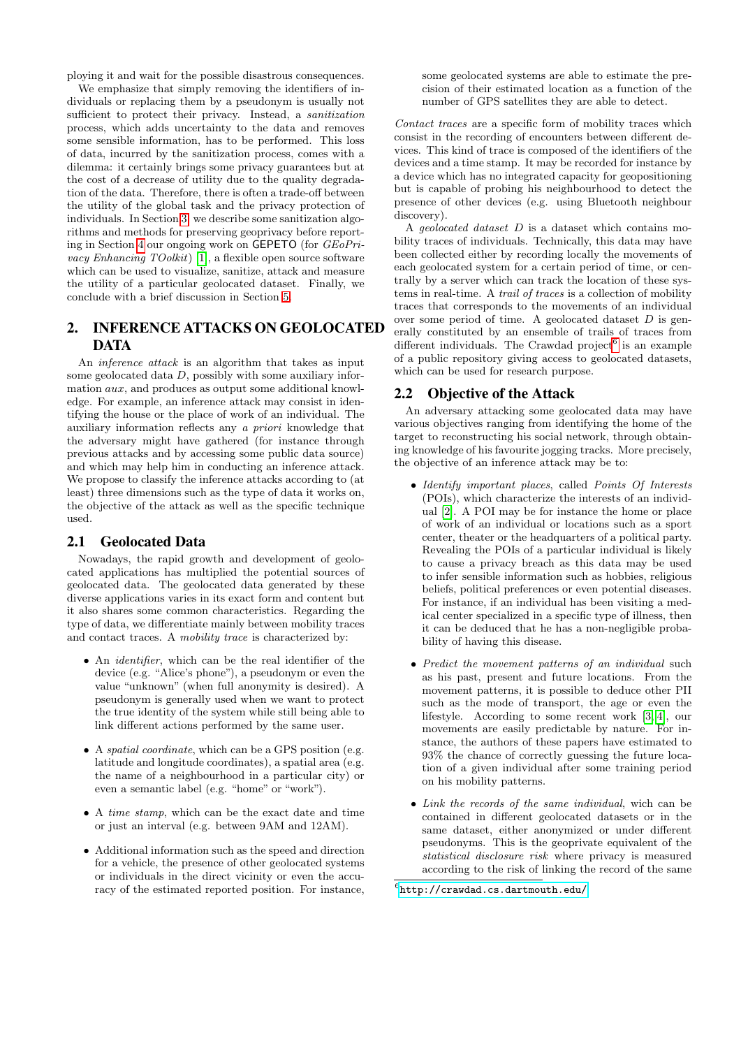ploying it and wait for the possible disastrous consequences.

We emphasize that simply removing the identifiers of individuals or replacing them by a pseudonym is usually not sufficient to protect their privacy. Instead, a sanitization process, which adds uncertainty to the data and removes some sensible information, has to be performed. This loss of data, incurred by the sanitization process, comes with a dilemma: it certainly brings some privacy guarantees but at the cost of a decrease of utility due to the quality degradation of the data. Therefore, there is often a trade-off between the utility of the global task and the privacy protection of individuals. In Section [3,](#page-2-0) we describe some sanitization algorithms and methods for preserving geoprivacy before reporting in Section [4](#page-3-0) our ongoing work on GEPETO (for GEoPrivacy Enhancing TOolkit) [\[1\]](#page-7-0), a flexible open source software which can be used to visualize, sanitize, attack and measure the utility of a particular geolocated dataset. Finally, we conclude with a brief discussion in Section [5.](#page-6-0)

## <span id="page-1-0"></span>2. INFERENCE ATTACKS ON GEOLOCATED DATA

An inference attack is an algorithm that takes as input some geolocated data D, possibly with some auxiliary information aux, and produces as output some additional knowledge. For example, an inference attack may consist in identifying the house or the place of work of an individual. The auxiliary information reflects any a priori knowledge that the adversary might have gathered (for instance through previous attacks and by accessing some public data source) and which may help him in conducting an inference attack. We propose to classify the inference attacks according to (at least) three dimensions such as the type of data it works on, the objective of the attack as well as the specific technique used.

## 2.1 Geolocated Data

Nowadays, the rapid growth and development of geolocated applications has multiplied the potential sources of geolocated data. The geolocated data generated by these diverse applications varies in its exact form and content but it also shares some common characteristics. Regarding the type of data, we differentiate mainly between mobility traces and contact traces. A *mobility trace* is characterized by:

- An identifier, which can be the real identifier of the device (e.g. "Alice's phone"), a pseudonym or even the value "unknown" (when full anonymity is desired). A pseudonym is generally used when we want to protect the true identity of the system while still being able to link different actions performed by the same user.
- A spatial coordinate, which can be a GPS position (e.g. latitude and longitude coordinates), a spatial area (e.g. the name of a neighbourhood in a particular city) or even a semantic label (e.g. "home" or "work").
- A time stamp, which can be the exact date and time or just an interval (e.g. between 9AM and 12AM).
- Additional information such as the speed and direction for a vehicle, the presence of other geolocated systems or individuals in the direct vicinity or even the accuracy of the estimated reported position. For instance,

some geolocated systems are able to estimate the precision of their estimated location as a function of the number of GPS satellites they are able to detect.

Contact traces are a specific form of mobility traces which consist in the recording of encounters between different devices. This kind of trace is composed of the identifiers of the devices and a time stamp. It may be recorded for instance by a device which has no integrated capacity for geopositioning but is capable of probing his neighbourhood to detect the presence of other devices (e.g. using Bluetooth neighbour discovery).

A *geolocated dataset*  $D$  is a dataset which contains mobility traces of individuals. Technically, this data may have been collected either by recording locally the movements of each geolocated system for a certain period of time, or centrally by a server which can track the location of these systems in real-time. A trail of traces is a collection of mobility traces that corresponds to the movements of an individual over some period of time. A geolocated dataset D is generally constituted by an ensemble of trails of traces from different individuals. The Crawdad project<sup>[6](#page-1-1)</sup> is an example of a public repository giving access to geolocated datasets, which can be used for research purpose.

## 2.2 Objective of the Attack

An adversary attacking some geolocated data may have various objectives ranging from identifying the home of the target to reconstructing his social network, through obtaining knowledge of his favourite jogging tracks. More precisely, the objective of an inference attack may be to:

- Identify important places, called Points Of Interests (POIs), which characterize the interests of an individual [\[2\]](#page-7-1). A POI may be for instance the home or place of work of an individual or locations such as a sport center, theater or the headquarters of a political party. Revealing the POIs of a particular individual is likely to cause a privacy breach as this data may be used to infer sensible information such as hobbies, religious beliefs, political preferences or even potential diseases. For instance, if an individual has been visiting a medical center specialized in a specific type of illness, then it can be deduced that he has a non-negligible probability of having this disease.
- Predict the movement patterns of an individual such as his past, present and future locations. From the movement patterns, it is possible to deduce other PII such as the mode of transport, the age or even the lifestyle. According to some recent work [\[3,](#page-7-2) [4\]](#page-7-3), our movements are easily predictable by nature. For instance, the authors of these papers have estimated to 93% the chance of correctly guessing the future location of a given individual after some training period on his mobility patterns.
- Link the records of the same individual, wich can be contained in different geolocated datasets or in the same dataset, either anonymized or under different pseudonyms. This is the geoprivate equivalent of the statistical disclosure risk where privacy is measured according to the risk of linking the record of the same

<span id="page-1-1"></span> $^6$ <http://crawdad.cs.dartmouth.edu/>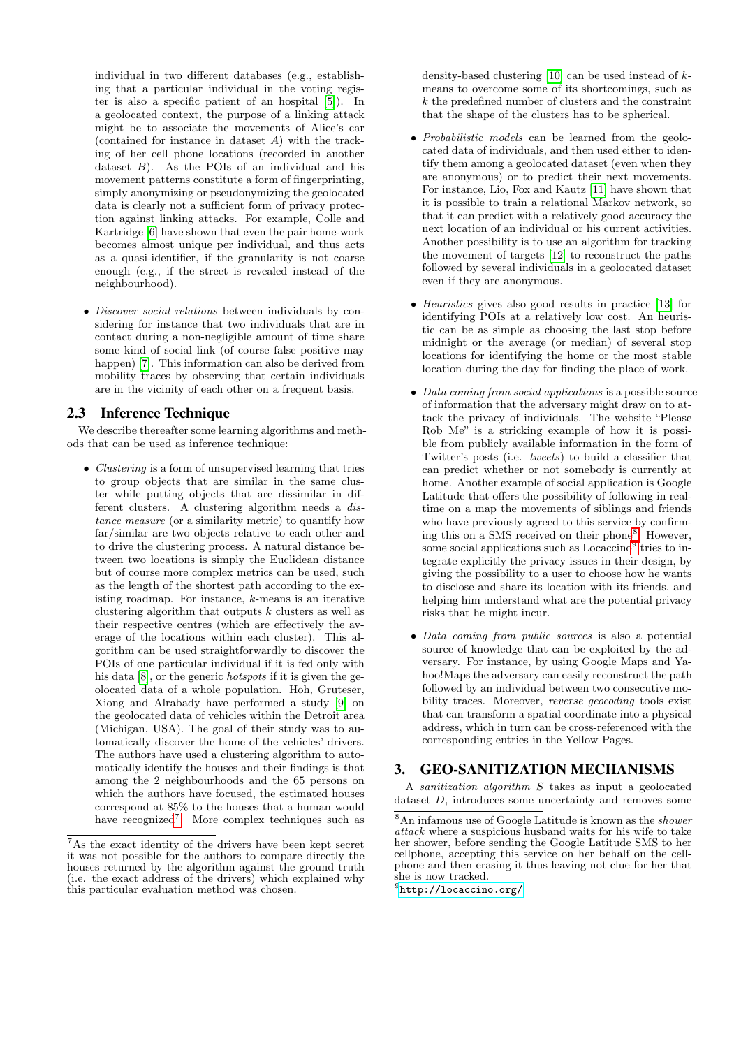individual in two different databases (e.g., establishing that a particular individual in the voting register is also a specific patient of an hospital [\[5\]](#page-7-4)). In a geolocated context, the purpose of a linking attack might be to associate the movements of Alice's car (contained for instance in dataset A) with the tracking of her cell phone locations (recorded in another dataset B). As the POIs of an individual and his movement patterns constitute a form of fingerprinting, simply anonymizing or pseudonymizing the geolocated data is clearly not a sufficient form of privacy protection against linking attacks. For example, Colle and Kartridge [\[6\]](#page-7-5) have shown that even the pair home-work becomes almost unique per individual, and thus acts as a quasi-identifier, if the granularity is not coarse enough (e.g., if the street is revealed instead of the neighbourhood).

• *Discover social relations* between individuals by considering for instance that two individuals that are in contact during a non-negligible amount of time share some kind of social link (of course false positive may happen) [\[7\]](#page-7-6). This information can also be derived from mobility traces by observing that certain individuals are in the vicinity of each other on a frequent basis.

## 2.3 Inference Technique

We describe thereafter some learning algorithms and methods that can be used as inference technique:

• *Clustering* is a form of unsupervised learning that tries to group objects that are similar in the same cluster while putting objects that are dissimilar in different clusters. A clustering algorithm needs a distance measure (or a similarity metric) to quantify how far/similar are two objects relative to each other and to drive the clustering process. A natural distance between two locations is simply the Euclidean distance but of course more complex metrics can be used, such as the length of the shortest path according to the existing roadmap. For instance, k-means is an iterative clustering algorithm that outputs  $k$  clusters as well as their respective centres (which are effectively the average of the locations within each cluster). This algorithm can be used straightforwardly to discover the POIs of one particular individual if it is fed only with his data [\[8\]](#page-7-7), or the generic *hotspots* if it is given the geolocated data of a whole population. Hoh, Gruteser, Xiong and Alrabady have performed a study [\[9\]](#page-7-8) on the geolocated data of vehicles within the Detroit area (Michigan, USA). The goal of their study was to automatically discover the home of the vehicles' drivers. The authors have used a clustering algorithm to automatically identify the houses and their findings is that among the 2 neighbourhoods and the 65 persons on which the authors have focused, the estimated houses correspond at 85% to the houses that a human would have recognized<sup>[7](#page-2-1)</sup>. More complex techniques such as

density-based clustering  $[10]$  can be used instead of  $k$ means to overcome some of its shortcomings, such as  $k$  the predefined number of clusters and the constraint that the shape of the clusters has to be spherical.

- *Probabilistic models* can be learned from the geolocated data of individuals, and then used either to identify them among a geolocated dataset (even when they are anonymous) or to predict their next movements. For instance, Lio, Fox and Kautz [\[11\]](#page-7-10) have shown that it is possible to train a relational Markov network, so that it can predict with a relatively good accuracy the next location of an individual or his current activities. Another possibility is to use an algorithm for tracking the movement of targets [\[12\]](#page-7-11) to reconstruct the paths followed by several individuals in a geolocated dataset even if they are anonymous.
- *Heuristics* gives also good results in practice [\[13\]](#page-7-12) for identifying POIs at a relatively low cost. An heuristic can be as simple as choosing the last stop before midnight or the average (or median) of several stop locations for identifying the home or the most stable location during the day for finding the place of work.
- Data coming from social applications is a possible source of information that the adversary might draw on to attack the privacy of individuals. The website "Please Rob Me" is a stricking example of how it is possible from publicly available information in the form of Twitter's posts (i.e. tweets) to build a classifier that can predict whether or not somebody is currently at home. Another example of social application is Google Latitude that offers the possibility of following in realtime on a map the movements of siblings and friends who have previously agreed to this service by confirm-ing this on a SMS received on their phone<sup>[8](#page-2-2)</sup>. However, some social applications such as Locaccino<sup>[9](#page-2-3)</sup> tries to integrate explicitly the privacy issues in their design, by giving the possibility to a user to choose how he wants to disclose and share its location with its friends, and helping him understand what are the potential privacy risks that he might incur.
- Data coming from public sources is also a potential source of knowledge that can be exploited by the adversary. For instance, by using Google Maps and Yahoo!Maps the adversary can easily reconstruct the path followed by an individual between two consecutive mobility traces. Moreover, reverse geocoding tools exist that can transform a spatial coordinate into a physical address, which in turn can be cross-referenced with the corresponding entries in the Yellow Pages.

## <span id="page-2-0"></span>3. GEO-SANITIZATION MECHANISMS

A sanitization algorithm S takes as input a geolocated dataset D, introduces some uncertainty and removes some

<span id="page-2-1"></span> $7\,\mathrm{As}$  the exact identity of the drivers have been kept secret it was not possible for the authors to compare directly the houses returned by the algorithm against the ground truth (i.e. the exact address of the drivers) which explained why this particular evaluation method was chosen.

<span id="page-2-2"></span><sup>8</sup>An infamous use of Google Latitude is known as the shower attack where a suspicious husband waits for his wife to take her shower, before sending the Google Latitude SMS to her cellphone, accepting this service on her behalf on the cellphone and then erasing it thus leaving not clue for her that she is now tracked.

<span id="page-2-3"></span> $^{9}$ <http://locaccino.org/>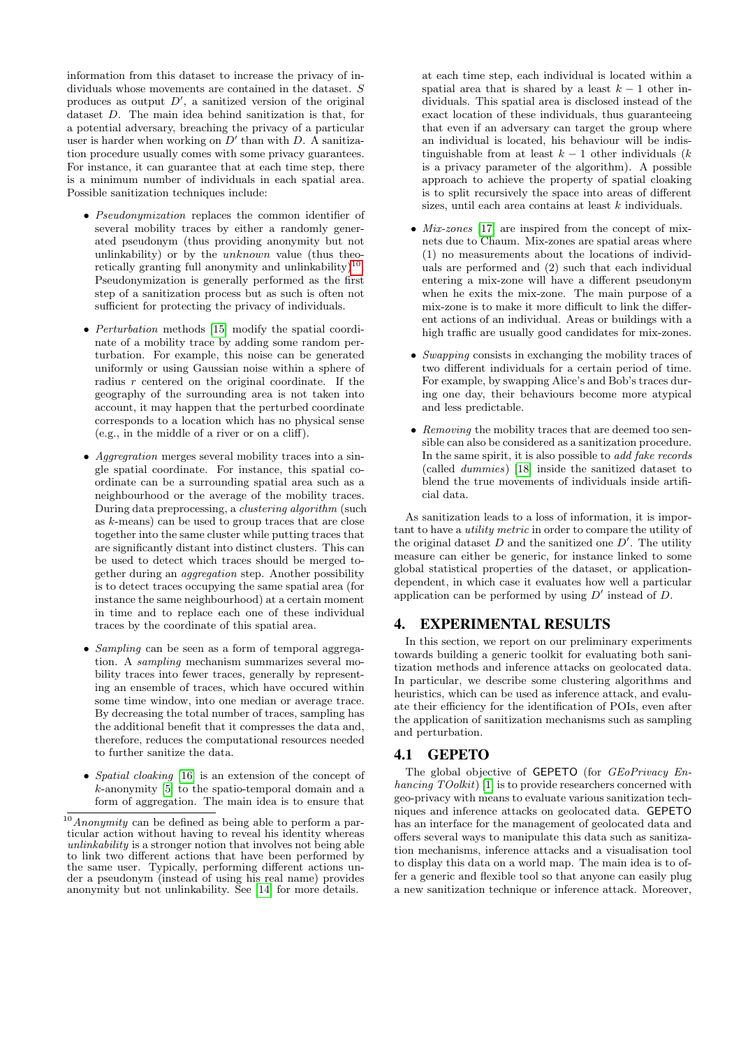information from this dataset to increase the privacy of individuals whose movements are contained in the dataset. S produces as output  $D'$ , a sanitized version of the original dataset D. The main idea behind sanitization is that, for a potential adversary, breaching the privacy of a particular user is harder when working on  $D'$  than with D. A sanitization procedure usually comes with some privacy guarantees. For instance, it can guarantee that at each time step, there is a minimum number of individuals in each spatial area. Possible sanitization techniques include:

- *Pseudonymization* replaces the common identifier of several mobility traces by either a randomly generated pseudonym (thus providing anonymity but not unlinkability) or by the unknown value (thus theoretically granting full anonymity and unlinkability $)^{10}$  $)^{10}$  $)^{10}$ . Pseudonymization is generally performed as the first step of a sanitization process but as such is often not sufficient for protecting the privacy of individuals.
- *Perturbation* methods [\[15\]](#page-7-13) modify the spatial coordinate of a mobility trace by adding some random perturbation. For example, this noise can be generated uniformly or using Gaussian noise within a sphere of radius r centered on the original coordinate. If the geography of the surrounding area is not taken into account, it may happen that the perturbed coordinate corresponds to a location which has no physical sense (e.g., in the middle of a river or on a cliff).
- Aggregration merges several mobility traces into a single spatial coordinate. For instance, this spatial coordinate can be a surrounding spatial area such as a neighbourhood or the average of the mobility traces. During data preprocessing, a clustering algorithm (such as k-means) can be used to group traces that are close together into the same cluster while putting traces that are significantly distant into distinct clusters. This can be used to detect which traces should be merged together during an aggregation step. Another possibility is to detect traces occupying the same spatial area (for instance the same neighbourhood) at a certain moment in time and to replace each one of these individual traces by the coordinate of this spatial area.
- Sampling can be seen as a form of temporal aggregation. A sampling mechanism summarizes several mobility traces into fewer traces, generally by representing an ensemble of traces, which have occured within some time window, into one median or average trace. By decreasing the total number of traces, sampling has the additional benefit that it compresses the data and, therefore, reduces the computational resources needed to further sanitize the data.
- *Spatial cloaking* [\[16\]](#page-7-14) is an extension of the concept of k-anonymity [\[5\]](#page-7-4) to the spatio-temporal domain and a form of aggregation. The main idea is to ensure that

at each time step, each individual is located within a spatial area that is shared by a least  $k - 1$  other individuals. This spatial area is disclosed instead of the exact location of these individuals, thus guaranteeing that even if an adversary can target the group where an individual is located, his behaviour will be indistinguishable from at least  $k - 1$  other individuals (k is a privacy parameter of the algorithm). A possible approach to achieve the property of spatial cloaking is to split recursively the space into areas of different sizes, until each area contains at least k individuals.

- *Mix-zones* [\[17\]](#page-7-16) are inspired from the concept of mixnets due to Chaum. Mix-zones are spatial areas where (1) no measurements about the locations of individuals are performed and (2) such that each individual entering a mix-zone will have a different pseudonym when he exits the mix-zone. The main purpose of a mix-zone is to make it more difficult to link the different actions of an individual. Areas or buildings with a high traffic are usually good candidates for mix-zones.
- Swapping consists in exchanging the mobility traces of two different individuals for a certain period of time. For example, by swapping Alice's and Bob's traces during one day, their behaviours become more atypical and less predictable.
- Removing the mobility traces that are deemed too sensible can also be considered as a sanitization procedure. In the same spirit, it is also possible to add fake records (called dummies) [\[18\]](#page-7-17) inside the sanitized dataset to blend the true movements of individuals inside artificial data.

As sanitization leads to a loss of information, it is important to have a utility metric in order to compare the utility of the original dataset  $D$  and the sanitized one  $D'$ . The utility measure can either be generic, for instance linked to some global statistical properties of the dataset, or applicationdependent, in which case it evaluates how well a particular application can be performed by using  $D'$  instead of  $D$ .

## <span id="page-3-0"></span>4. EXPERIMENTAL RESULTS

In this section, we report on our preliminary experiments towards building a generic toolkit for evaluating both sanitization methods and inference attacks on geolocated data. In particular, we describe some clustering algorithms and heuristics, which can be used as inference attack, and evaluate their efficiency for the identification of POIs, even after the application of sanitization mechanisms such as sampling and perturbation.

## 4.1 GEPETO

The global objective of **GEPETO** (for *GEoPrivacy En-*hancing TOolkit) [\[1\]](#page-7-0) is to provide researchers concerned with geo-privacy with means to evaluate various sanitization techniques and inference attacks on geolocated data. GEPETO has an interface for the management of geolocated data and offers several ways to manipulate this data such as sanitization mechanisms, inference attacks and a visualisation tool to display this data on a world map. The main idea is to offer a generic and flexible tool so that anyone can easily plug a new sanitization technique or inference attack. Moreover,

<span id="page-3-1"></span> $10$ Anonymity can be defined as being able to perform a particular action without having to reveal his identity whereas unlinkability is a stronger notion that involves not being able to link two different actions that have been performed by the same user. Typically, performing different actions under a pseudonym (instead of using his real name) provides anonymity but not unlinkability. See [\[14\]](#page-7-15) for more details.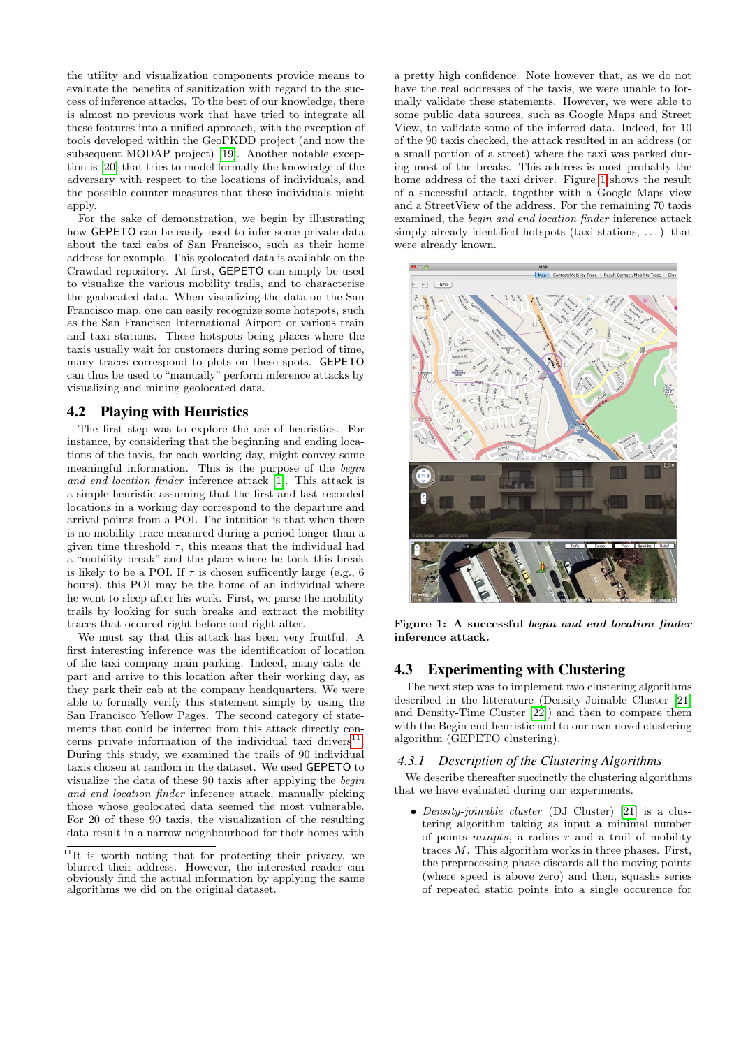the utility and visualization components provide means to evaluate the benefits of sanitization with regard to the success of inference attacks. To the best of our knowledge, there is almost no previous work that have tried to integrate all these features into a unified approach, with the exception of tools developed within the GeoPKDD project (and now the subsequent MODAP project) [\[19\]](#page-7-18). Another notable exception is [\[20\]](#page-7-19) that tries to model formally the knowledge of the adversary with respect to the locations of individuals, and the possible counter-measures that these individuals might apply.

For the sake of demonstration, we begin by illustrating how GEPETO can be easily used to infer some private data about the taxi cabs of San Francisco, such as their home address for example. This geolocated data is available on the Crawdad repository. At first, GEPETO can simply be used to visualize the various mobility trails, and to characterise the geolocated data. When visualizing the data on the San Francisco map, one can easily recognize some hotspots, such as the San Francisco International Airport or various train and taxi stations. These hotspots being places where the taxis usually wait for customers during some period of time, many traces correspond to plots on these spots. GEPETO can thus be used to "manually" perform inference attacks by visualizing and mining geolocated data.

## 4.2 Playing with Heuristics

The first step was to explore the use of heuristics. For instance, by considering that the beginning and ending locations of the taxis, for each working day, might convey some meaningful information. This is the purpose of the begin and end location finder inference attack [\[1\]](#page-7-0). This attack is a simple heuristic assuming that the first and last recorded locations in a working day correspond to the departure and arrival points from a POI. The intuition is that when there is no mobility trace measured during a period longer than a given time threshold  $\tau$ , this means that the individual had a "mobility break" and the place where he took this break is likely to be a POI. If  $\tau$  is chosen sufficently large (e.g., 6) hours), this POI may be the home of an individual where he went to sleep after his work. First, we parse the mobility trails by looking for such breaks and extract the mobility traces that occured right before and right after.

We must say that this attack has been very fruitful. A first interesting inference was the identification of location of the taxi company main parking. Indeed, many cabs depart and arrive to this location after their working day, as they park their cab at the company headquarters. We were able to formally verify this statement simply by using the San Francisco Yellow Pages. The second category of statements that could be inferred from this attack directly concerns private information of the individual taxi drivers<sup>1</sup> . During this study, we examined the trails of 90 individual taxis chosen at random in the dataset. We used GEPETO to visualize the data of these 90 taxis after applying the begin and end location finder inference attack, manually picking those whose geolocated data seemed the most vulnerable. For 20 of these 90 taxis, the visualization of the resulting data result in a narrow neighbourhood for their homes with

a pretty high confidence. Note however that, as we do not have the real addresses of the taxis, we were unable to formally validate these statements. However, we were able to some public data sources, such as Google Maps and Street View, to validate some of the inferred data. Indeed, for 10 of the 90 taxis checked, the attack resulted in an address (or a small portion of a street) where the taxi was parked during most of the breaks. This address is most probably the home address of the taxi driver. Figure [1](#page-4-1) shows the result of a successful attack, together with a Google Maps view and a StreetView of the address. For the remaining 70 taxis examined, the begin and end location finder inference attack simply already identified hotspots (taxi stations, ...) that were already known.



<span id="page-4-1"></span>Figure 1: A successful begin and end location finder inference attack.

## 4.3 Experimenting with Clustering

The next step was to implement two clustering algorithms described in the litterature (Density-Joinable Cluster [\[21\]](#page-7-20) and Density-Time Cluster [\[22\]](#page-7-21)) and then to compare them with the Begin-end heuristic and to our own novel clustering algorithm (GEPETO clustering).

#### *4.3.1 Description of the Clustering Algorithms*

We describe thereafter succinctly the clustering algorithms that we have evaluated during our experiments.

• Density-joinable cluster (DJ Cluster) [\[21\]](#page-7-20) is a clustering algorithm taking as input a minimal number of points  $minputs$ , a radius  $r$  and a trail of mobility traces  $M$ . This algorithm works in three phases. First, the preprocessing phase discards all the moving points (where speed is above zero) and then, squashs series of repeated static points into a single occurence for

<span id="page-4-0"></span><sup>&</sup>lt;sup>11</sup>It is worth noting that for protecting their privacy, we blurred their address. However, the interested reader can obviously find the actual information by applying the same algorithms we did on the original dataset.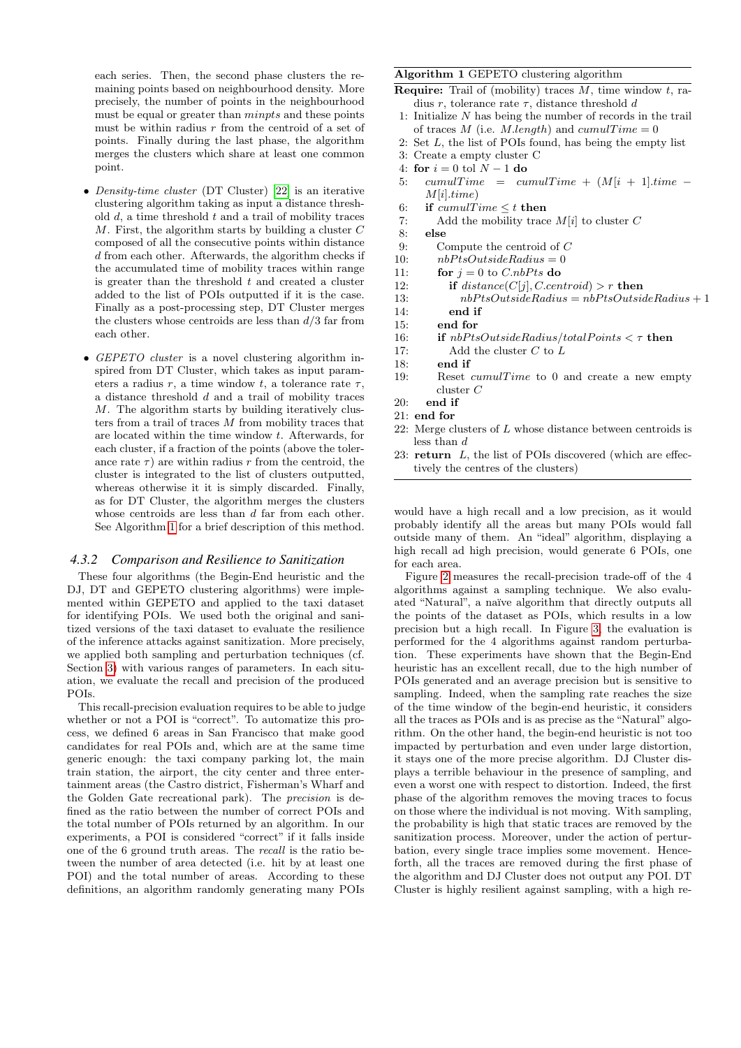each series. Then, the second phase clusters the remaining points based on neighbourhood density. More precisely, the number of points in the neighbourhood must be equal or greater than minpts and these points must be within radius  $r$  from the centroid of a set of points. Finally during the last phase, the algorithm merges the clusters which share at least one common point.

- Density-time cluster (DT Cluster) [\[22\]](#page-7-21) is an iterative clustering algorithm taking as input a distance threshold  $d$ , a time threshold  $t$  and a trail of mobility traces  $M$ . First, the algorithm starts by building a cluster  $C$ composed of all the consecutive points within distance d from each other. Afterwards, the algorithm checks if the accumulated time of mobility traces within range is greater than the threshold  $t$  and created a cluster added to the list of POIs outputted if it is the case. Finally as a post-processing step, DT Cluster merges the clusters whose centroids are less than  $d/3$  far from each other.
- GEPETO cluster is a novel clustering algorithm inspired from DT Cluster, which takes as input parameters a radius r, a time window t, a tolerance rate  $\tau$ , a distance threshold d and a trail of mobility traces M. The algorithm starts by building iteratively clusters from a trail of traces M from mobility traces that are located within the time window t. Afterwards, for each cluster, if a fraction of the points (above the tolerance rate  $\tau$ ) are within radius r from the centroid, the cluster is integrated to the list of clusters outputted, whereas otherwise it it is simply discarded. Finally, as for DT Cluster, the algorithm merges the clusters whose centroids are less than d far from each other. See Algorithm [1](#page-5-0) for a brief description of this method.

#### *4.3.2 Comparison and Resilience to Sanitization*

These four algorithms (the Begin-End heuristic and the DJ, DT and GEPETO clustering algorithms) were implemented within GEPETO and applied to the taxi dataset for identifying POIs. We used both the original and sanitized versions of the taxi dataset to evaluate the resilience of the inference attacks against sanitization. More precisely, we applied both sampling and perturbation techniques (cf. Section [3\)](#page-2-0) with various ranges of parameters. In each situation, we evaluate the recall and precision of the produced POIs.

This recall-precision evaluation requires to be able to judge whether or not a POI is "correct". To automatize this process, we defined 6 areas in San Francisco that make good candidates for real POIs and, which are at the same time generic enough: the taxi company parking lot, the main train station, the airport, the city center and three entertainment areas (the Castro district, Fisherman's Wharf and the Golden Gate recreational park). The precision is defined as the ratio between the number of correct POIs and the total number of POIs returned by an algorithm. In our experiments, a POI is considered "correct" if it falls inside one of the 6 ground truth areas. The recall is the ratio between the number of area detected (i.e. hit by at least one POI) and the total number of areas. According to these definitions, an algorithm randomly generating many POIs

#### <span id="page-5-0"></span>Algorithm 1 GEPETO clustering algorithm

**Require:** Trail of (mobility) traces  $M$ , time window  $t$ , radius r, tolerance rate  $\tau$ , distance threshold d

- 1: Initialize  $N$  has being the number of records in the trail of traces M (i.e. M.length) and cumulTime = 0
- 2: Set  $L$ , the list of POIs found, has being the empty list
- 3: Create a empty cluster C
- 4: for  $i = 0$  tol  $N 1$  do
- 5: cumulTime = cumulTime +  $(M[i + 1].time$   $M[i].time)$
- 6: if  $cumulTime \leq t$  then
- 7: Add the mobility trace  $M[i]$  to cluster  $C$
- 8: else
- 9: Compute the centroid of C
- 10:  $nbP$  tsOutsideRadius = 0
- 11: for  $j = 0$  to C.nbPts do
- 12: if  $distance(C[j], C. centroid) > r$  then
- 13:  $nbPtsOutsideRadius = nbPtsOutsideRadius + 1$
- 14: end if
- 15: end for
- 16: if  $nbPtsOutsideRadius/totalPoints < \tau$  then
- 17: Add the cluster  $C$  to  $L$
- $18<sup>°</sup>$  end if
- 19: Reset  $cumuTime$  to 0 and create a new empty cluster C
- 20: end if
- 21: end for
- 22: Merge clusters of  $L$  whose distance between centroids is less than d
- 23:  $return L$ , the list of POIs discovered (which are effectively the centres of the clusters)

would have a high recall and a low precision, as it would probably identify all the areas but many POIs would fall outside many of them. An "ideal" algorithm, displaying a high recall ad high precision, would generate 6 POIs, one for each area.

Figure [2](#page-6-1) measures the recall-precision trade-off of the 4 algorithms against a sampling technique. We also evaluated "Natural", a naïve algorithm that directly outputs all the points of the dataset as POIs, which results in a low precision but a high recall. In Figure [3,](#page-6-2) the evaluation is performed for the 4 algorithms against random perturbation. These experiments have shown that the Begin-End heuristic has an excellent recall, due to the high number of POIs generated and an average precision but is sensitive to sampling. Indeed, when the sampling rate reaches the size of the time window of the begin-end heuristic, it considers all the traces as POIs and is as precise as the "Natural" algorithm. On the other hand, the begin-end heuristic is not too impacted by perturbation and even under large distortion, it stays one of the more precise algorithm. DJ Cluster displays a terrible behaviour in the presence of sampling, and even a worst one with respect to distortion. Indeed, the first phase of the algorithm removes the moving traces to focus on those where the individual is not moving. With sampling, the probability is high that static traces are removed by the sanitization process. Moreover, under the action of perturbation, every single trace implies some movement. Henceforth, all the traces are removed during the first phase of the algorithm and DJ Cluster does not output any POI. DT Cluster is highly resilient against sampling, with a high re-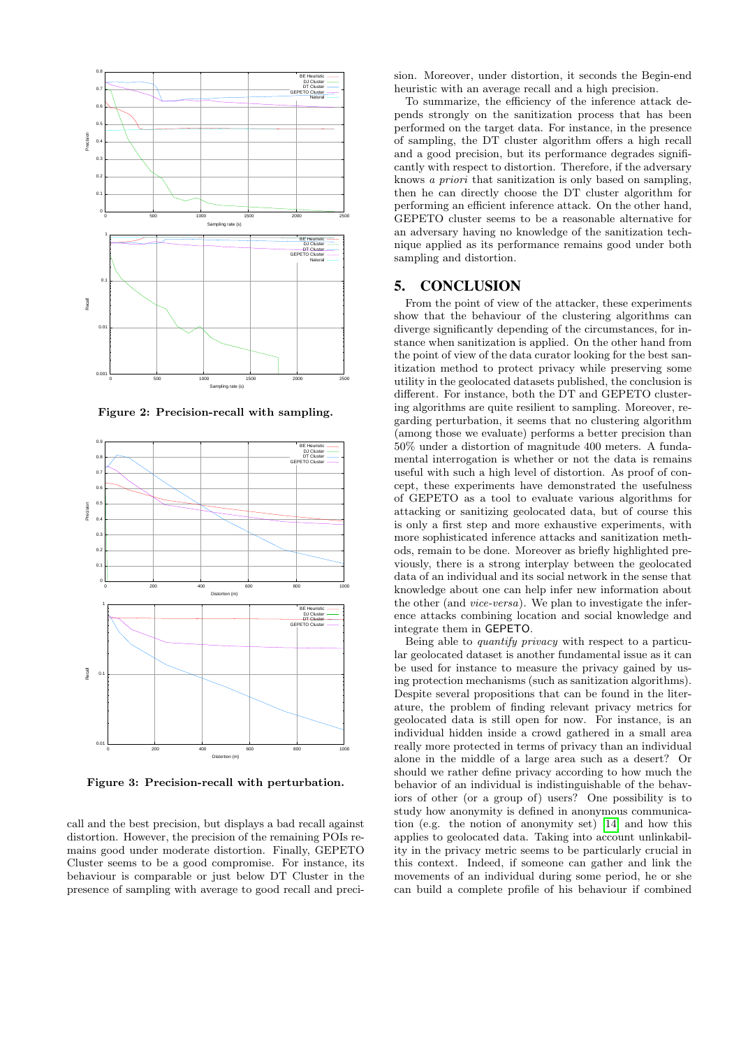

<span id="page-6-1"></span>Figure 2: Precision-recall with sampling.



<span id="page-6-2"></span>Figure 3: Precision-recall with perturbation.

call and the best precision, but displays a bad recall against distortion. However, the precision of the remaining POIs remains good under moderate distortion. Finally, GEPETO Cluster seems to be a good compromise. For instance, its behaviour is comparable or just below DT Cluster in the presence of sampling with average to good recall and preci-

sion. Moreover, under distortion, it seconds the Begin-end heuristic with an average recall and a high precision.

To summarize, the efficiency of the inference attack depends strongly on the sanitization process that has been performed on the target data. For instance, in the presence of sampling, the DT cluster algorithm offers a high recall and a good precision, but its performance degrades significantly with respect to distortion. Therefore, if the adversary knows a priori that sanitization is only based on sampling, then he can directly choose the DT cluster algorithm for performing an efficient inference attack. On the other hand, GEPETO cluster seems to be a reasonable alternative for an adversary having no knowledge of the sanitization technique applied as its performance remains good under both sampling and distortion.

#### <span id="page-6-0"></span>5. CONCLUSION

From the point of view of the attacker, these experiments show that the behaviour of the clustering algorithms can diverge significantly depending of the circumstances, for instance when sanitization is applied. On the other hand from the point of view of the data curator looking for the best sanitization method to protect privacy while preserving some utility in the geolocated datasets published, the conclusion is different. For instance, both the DT and GEPETO clustering algorithms are quite resilient to sampling. Moreover, regarding perturbation, it seems that no clustering algorithm (among those we evaluate) performs a better precision than 50% under a distortion of magnitude 400 meters. A fundamental interrogation is whether or not the data is remains useful with such a high level of distortion. As proof of concept, these experiments have demonstrated the usefulness of GEPETO as a tool to evaluate various algorithms for attacking or sanitizing geolocated data, but of course this is only a first step and more exhaustive experiments, with more sophisticated inference attacks and sanitization methods, remain to be done. Moreover as briefly highlighted previously, there is a strong interplay between the geolocated data of an individual and its social network in the sense that knowledge about one can help infer new information about the other (and vice-versa). We plan to investigate the inference attacks combining location and social knowledge and integrate them in GEPETO.

Being able to quantify privacy with respect to a particular geolocated dataset is another fundamental issue as it can be used for instance to measure the privacy gained by using protection mechanisms (such as sanitization algorithms). Despite several propositions that can be found in the literature, the problem of finding relevant privacy metrics for geolocated data is still open for now. For instance, is an individual hidden inside a crowd gathered in a small area really more protected in terms of privacy than an individual alone in the middle of a large area such as a desert? Or should we rather define privacy according to how much the behavior of an individual is indistinguishable of the behaviors of other (or a group of) users? One possibility is to study how anonymity is defined in anonymous communication (e.g. the notion of anonymity set) [\[14\]](#page-7-15) and how this applies to geolocated data. Taking into account unlinkability in the privacy metric seems to be particularly crucial in this context. Indeed, if someone can gather and link the movements of an individual during some period, he or she can build a complete profile of his behaviour if combined